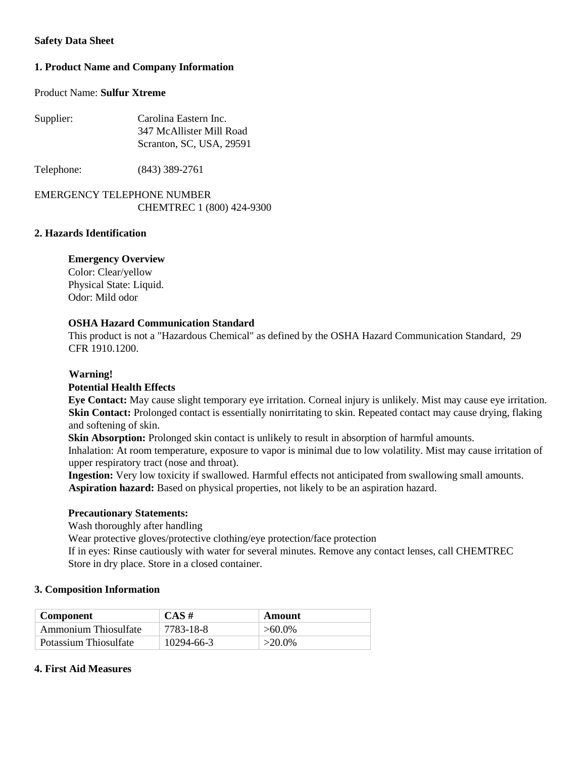## **Safety Data Sheet**

# **1. Product Name and Company Information**

# Product Name: **Sulfur Xtreme**

| Supplier: | Carolina Eastern Inc.    |  |
|-----------|--------------------------|--|
|           | 347 McAllister Mill Road |  |
|           | Scranton, SC, USA, 29591 |  |

Telephone: (843) 389-2761

# EMERGENCY TELEPHONE NUMBER CHEMTREC 1 (800) 424-9300

#### **2. Hazards Identification**

### **Emergency Overview**

Color: Clear/yellow Physical State: Liquid. Odor: Mild odor

### **OSHA Hazard Communication Standard**

This product is not a "Hazardous Chemical" as defined by the OSHA Hazard Communication Standard, 29 CFR 1910.1200.

## **Warning!**

### **Potential Health Effects**

**Eye Contact:** May cause slight temporary eye irritation. Corneal injury is unlikely. Mist may cause eye irritation. **Skin Contact:** Prolonged contact is essentially nonirritating to skin. Repeated contact may cause drying, flaking and softening of skin.

**Skin Absorption:** Prolonged skin contact is unlikely to result in absorption of harmful amounts. Inhalation: At room temperature, exposure to vapor is minimal due to low volatility. Mist may cause irritation of

upper respiratory tract (nose and throat).

**Ingestion:** Very low toxicity if swallowed. Harmful effects not anticipated from swallowing small amounts. **Aspiration hazard:** Based on physical properties, not likely to be an aspiration hazard.

### **Precautionary Statements:**

Wash thoroughly after handling

Wear protective gloves/protective clothing/eye protection/face protection

If in eyes: Rinse cautiously with water for several minutes. Remove any contact lenses, call CHEMTREC Store in dry place. Store in a closed container.

### **3. Composition Information**

| <b>Component</b>      | $CAS \#$   | Amount    |  |
|-----------------------|------------|-----------|--|
| Ammonium Thiosulfate  | 7783-18-8  | $>60.0\%$ |  |
| Potassium Thiosulfate | 10294-66-3 | $>20.0\%$ |  |

# **4. First Aid Measures**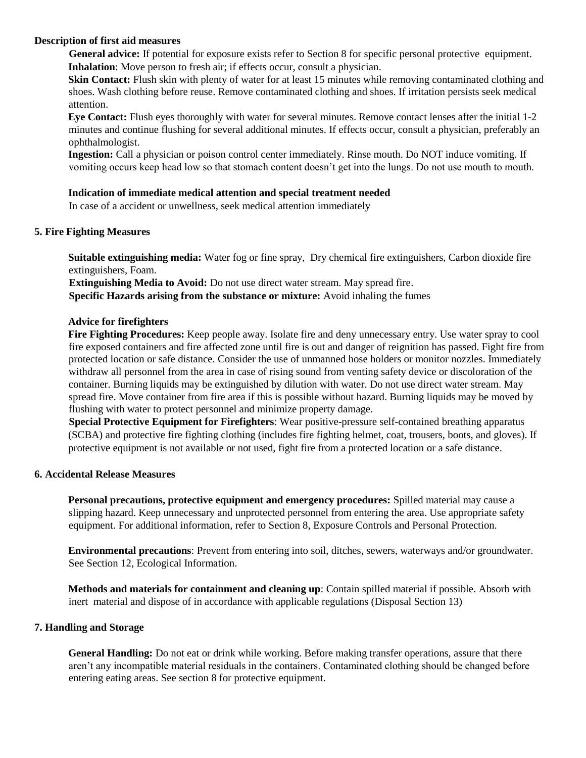### **Description of first aid measures**

**General advice:** If potential for exposure exists refer to Section 8 for specific personal protective equipment. **Inhalation**: Move person to fresh air; if effects occur, consult a physician.

**Skin Contact:** Flush skin with plenty of water for at least 15 minutes while removing contaminated clothing and shoes. Wash clothing before reuse. Remove contaminated clothing and shoes. If irritation persists seek medical attention.

**Eye Contact:** Flush eyes thoroughly with water for several minutes. Remove contact lenses after the initial 1-2 minutes and continue flushing for several additional minutes. If effects occur, consult a physician, preferably an ophthalmologist.

**Ingestion:** Call a physician or poison control center immediately. Rinse mouth. Do NOT induce vomiting. If vomiting occurs keep head low so that stomach content doesn't get into the lungs. Do not use mouth to mouth.

#### **Indication of immediate medical attention and special treatment needed**

In case of a accident or unwellness, seek medical attention immediately

### **5. Fire Fighting Measures**

**Suitable extinguishing media:** Water fog or fine spray, Dry chemical fire extinguishers, Carbon dioxide fire extinguishers, Foam.

**Extinguishing Media to Avoid:** Do not use direct water stream. May spread fire. **Specific Hazards arising from the substance or mixture:** Avoid inhaling the fumes

#### **Advice for firefighters**

**Fire Fighting Procedures:** Keep people away. Isolate fire and deny unnecessary entry. Use water spray to cool fire exposed containers and fire affected zone until fire is out and danger of reignition has passed. Fight fire from protected location or safe distance. Consider the use of unmanned hose holders or monitor nozzles. Immediately withdraw all personnel from the area in case of rising sound from venting safety device or discoloration of the container. Burning liquids may be extinguished by dilution with water. Do not use direct water stream. May spread fire. Move container from fire area if this is possible without hazard. Burning liquids may be moved by flushing with water to protect personnel and minimize property damage.

**Special Protective Equipment for Firefighters**: Wear positive-pressure self-contained breathing apparatus (SCBA) and protective fire fighting clothing (includes fire fighting helmet, coat, trousers, boots, and gloves). If protective equipment is not available or not used, fight fire from a protected location or a safe distance.

### **6. Accidental Release Measures**

**Personal precautions, protective equipment and emergency procedures:** Spilled material may cause a slipping hazard. Keep unnecessary and unprotected personnel from entering the area. Use appropriate safety equipment. For additional information, refer to Section 8, Exposure Controls and Personal Protection.

**Environmental precautions**: Prevent from entering into soil, ditches, sewers, waterways and/or groundwater. See Section 12, Ecological Information.

**Methods and materials for containment and cleaning up**: Contain spilled material if possible. Absorb with inert material and dispose of in accordance with applicable regulations (Disposal Section 13)

#### **7. Handling and Storage**

**General Handling:** Do not eat or drink while working. Before making transfer operations, assure that there aren't any incompatible material residuals in the containers. Contaminated clothing should be changed before entering eating areas. See section 8 for protective equipment.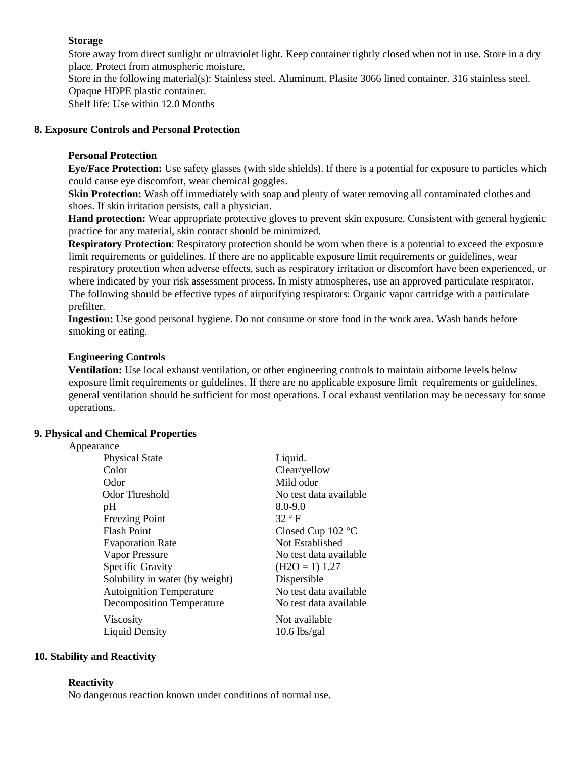# **Storage**

Store away from direct sunlight or ultraviolet light. Keep container tightly closed when not in use. Store in a dry place. Protect from atmospheric moisture. Store in the following material(s): Stainless steel. Aluminum. Plasite 3066 lined container. 316 stainless steel. Opaque HDPE plastic container. Shelf life: Use within 12.0 Months

# **8. Exposure Controls and Personal Protection**

# **Personal Protection**

**Eye/Face Protection:** Use safety glasses (with side shields). If there is a potential for exposure to particles which could cause eye discomfort, wear chemical goggles.

**Skin Protection:** Wash off immediately with soap and plenty of water removing all contaminated clothes and shoes. If skin irritation persists, call a physician.

**Hand protection:** Wear appropriate protective gloves to prevent skin exposure. Consistent with general hygienic practice for any material, skin contact should be minimized.

**Respiratory Protection**: Respiratory protection should be worn when there is a potential to exceed the exposure limit requirements or guidelines. If there are no applicable exposure limit requirements or guidelines, wear respiratory protection when adverse effects, such as respiratory irritation or discomfort have been experienced, or where indicated by your risk assessment process. In misty atmospheres, use an approved particulate respirator. The following should be effective types of airpurifying respirators: Organic vapor cartridge with a particulate prefilter.

**Ingestion:** Use good personal hygiene. Do not consume or store food in the work area. Wash hands before smoking or eating.

### **Engineering Controls**

**Ventilation:** Use local exhaust ventilation, or other engineering controls to maintain airborne levels below exposure limit requirements or guidelines. If there are no applicable exposure limit requirements or guidelines, general ventilation should be sufficient for most operations. Local exhaust ventilation may be necessary for some operations.

## **9. Physical and Chemical Properties**

| Appearance |
|------------|
|------------|

| <b>Physical State</b>            | Liquid.                |
|----------------------------------|------------------------|
| Color                            | Clear/yellow           |
| Odor                             | Mild odor              |
| Odor Threshold                   | No test data available |
| pH                               | $8.0 - 9.0$            |
| <b>Freezing Point</b>            | $32^{\circ}$ F         |
| <b>Flash Point</b>               | Closed Cup $102$ °C    |
| <b>Evaporation Rate</b>          | Not Established        |
| Vapor Pressure                   | No test data available |
| Specific Gravity                 | $(H2O = 1) 1.27$       |
| Solubility in water (by weight)  | Dispersible            |
| <b>Autoignition Temperature</b>  | No test data available |
| <b>Decomposition Temperature</b> | No test data available |
| Viscosity                        | Not available          |
| <b>Liquid Density</b>            | $10.6$ lbs/gal         |
|                                  |                        |

### **10. Stability and Reactivity**

#### **Reactivity**

No dangerous reaction known under conditions of normal use.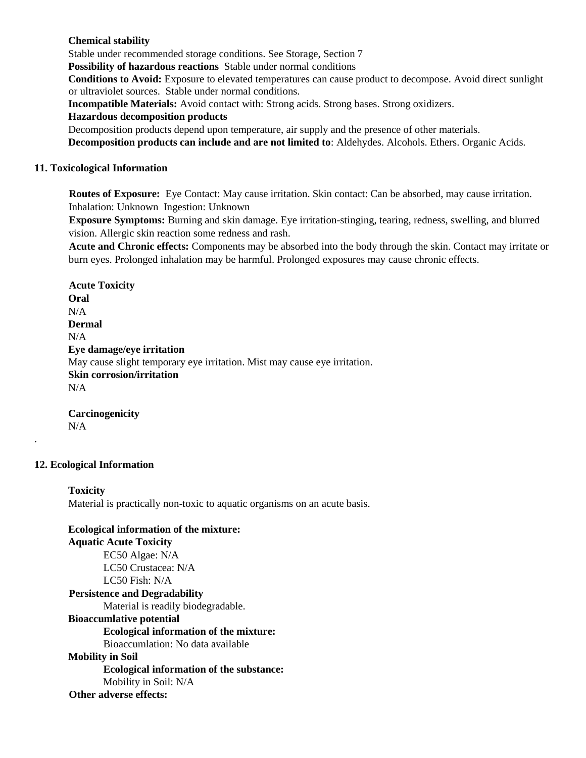### **Chemical stability**

Stable under recommended storage conditions. See Storage, Section 7

**Possibility of hazardous reactions** Stable under normal conditions

**Conditions to Avoid:** Exposure to elevated temperatures can cause product to decompose. Avoid direct sunlight or ultraviolet sources. Stable under normal conditions.

**Incompatible Materials:** Avoid contact with: Strong acids. Strong bases. Strong oxidizers.

### **Hazardous decomposition products**

Decomposition products depend upon temperature, air supply and the presence of other materials.

**Decomposition products can include and are not limited to**: Aldehydes. Alcohols. Ethers. Organic Acids.

#### **11. Toxicological Information**

**Routes of Exposure:** Eye Contact: May cause irritation. Skin contact: Can be absorbed, may cause irritation. Inhalation: Unknown Ingestion: Unknown

**Exposure Symptoms:** Burning and skin damage. Eye irritation-stinging, tearing, redness, swelling, and blurred vision. Allergic skin reaction some redness and rash.

**Acute and Chronic effects:** Components may be absorbed into the body through the skin. Contact may irritate or burn eyes. Prolonged inhalation may be harmful. Prolonged exposures may cause chronic effects.

**Acute Toxicity Oral**  N/A **Dermal**   $N/A$ **Eye damage/eye irritation**  May cause slight temporary eye irritation. Mist may cause eye irritation. **Skin corrosion/irritation**   $N/A$ 

**Carcinogenicity**  N/A

#### **12. Ecological Information**

.

# **Toxicity**  Material is practically non-toxic to aquatic organisms on an acute basis.

**Ecological information of the mixture: Aquatic Acute Toxicity** EC50 Algae: N/A LC50 Crustacea: N/A LC50 Fish: N/A **Persistence and Degradability**  Material is readily biodegradable. **Bioaccumlative potential Ecological information of the mixture:** Bioaccumlation: No data available **Mobility in Soil Ecological information of the substance:** Mobility in Soil: N/A **Other adverse effects:**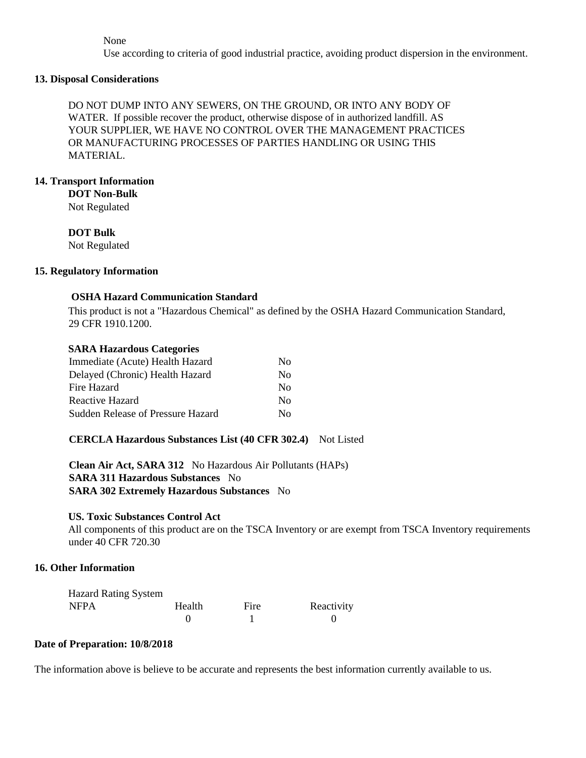None

Use according to criteria of good industrial practice, avoiding product dispersion in the environment.

#### **13. Disposal Considerations**

DO NOT DUMP INTO ANY SEWERS, ON THE GROUND, OR INTO ANY BODY OF WATER. If possible recover the product, otherwise dispose of in authorized landfill. AS YOUR SUPPLIER, WE HAVE NO CONTROL OVER THE MANAGEMENT PRACTICES OR MANUFACTURING PROCESSES OF PARTIES HANDLING OR USING THIS MATERIAL.

### **14. Transport Information**

**DOT Non-Bulk** 

Not Regulated

# **DOT Bulk**

Not Regulated

#### **15. Regulatory Information**

#### **OSHA Hazard Communication Standard**

This product is not a "Hazardous Chemical" as defined by the OSHA Hazard Communication Standard, 29 CFR 1910.1200.

#### **SARA Hazardous Categories**

| Nο                     |
|------------------------|
| $\mathbf{N}\mathbf{O}$ |
| Nο                     |
| No.                    |
| Nο                     |
|                        |

### **CERCLA Hazardous Substances List (40 CFR 302.4)** Not Listed

**Clean Air Act, SARA 312** No Hazardous Air Pollutants (HAPs) **SARA 311 Hazardous Substances** No **SARA 302 Extremely Hazardous Substances** No

#### **US. Toxic Substances Control Act**

All components of this product are on the TSCA Inventory or are exempt from TSCA Inventory requirements under 40 CFR 720.30

# **16. Other Information**

| <b>Hazard Rating System</b> |        |      |            |
|-----------------------------|--------|------|------------|
| <b>NFPA</b>                 | Health | Fire | Reactivity |
|                             |        |      |            |

#### **Date of Preparation: 10/8/2018**

The information above is believe to be accurate and represents the best information currently available to us.